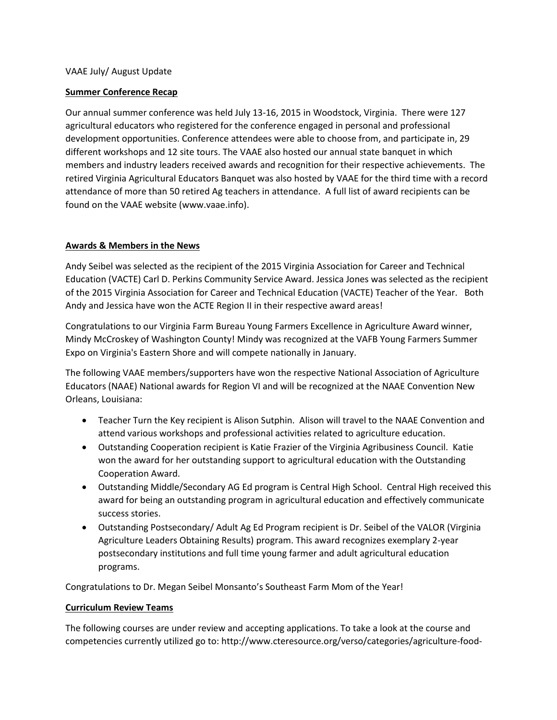# VAAE July/ August Update

## **Summer Conference Recap**

Our annual summer conference was held July 13-16, 2015 in Woodstock, Virginia. There were 127 agricultural educators who registered for the conference engaged in personal and professional development opportunities. Conference attendees were able to choose from, and participate in, 29 different workshops and 12 site tours. The VAAE also hosted our annual state banquet in which members and industry leaders received awards and recognition for their respective achievements. The retired Virginia Agricultural Educators Banquet was also hosted by VAAE for the third time with a record attendance of more than 50 retired Ag teachers in attendance. A full list of award recipients can be found on the VAAE website (www.vaae.info).

# **Awards & Members in the News**

Andy Seibel was selected as the recipient of the 2015 Virginia Association for Career and Technical Education (VACTE) Carl D. Perkins Community Service Award. Jessica Jones was selected as the recipient of the 2015 Virginia Association for Career and Technical Education (VACTE) Teacher of the Year. Both Andy and Jessica have won the ACTE Region II in their respective award areas!

Congratulations to our Virginia Farm Bureau Young Farmers Excellence in Agriculture Award winner, Mindy McCroskey of Washington County! Mindy was recognized at the VAFB Young Farmers Summer Expo on Virginia's Eastern Shore and will compete nationally in January.

The following VAAE members/supporters have won the respective National Association of Agriculture Educators (NAAE) National awards for Region VI and will be recognized at the NAAE Convention New Orleans, Louisiana:

- Teacher Turn the Key recipient is Alison Sutphin. Alison will travel to the NAAE Convention and attend various workshops and professional activities related to agriculture education.
- Outstanding Cooperation recipient is Katie Frazier of the Virginia Agribusiness Council. Katie won the award for her outstanding support to agricultural education with the Outstanding Cooperation Award.
- Outstanding Middle/Secondary AG Ed program is Central High School. Central High received this award for being an outstanding program in agricultural education and effectively communicate success stories.
- Outstanding Postsecondary/ Adult Ag Ed Program recipient is Dr. Seibel of the VALOR (Virginia Agriculture Leaders Obtaining Results) program. This award recognizes exemplary 2-year postsecondary institutions and full time young farmer and adult agricultural education programs.

Congratulations to Dr. Megan Seibel Monsanto's Southeast Farm Mom of the Year!

#### **Curriculum Review Teams**

The following courses are under review and accepting applications. To take a look at the course and competencies currently utilized go to: http://www.cteresource.org/verso/categories/agriculture-food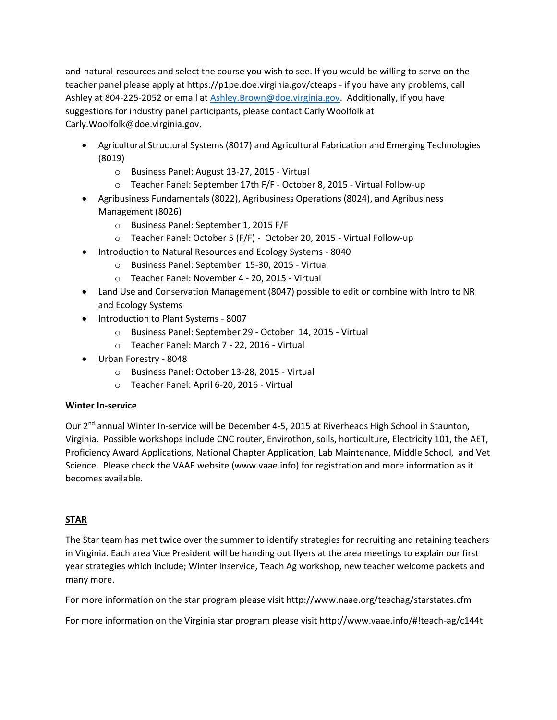and-natural-resources and select the course you wish to see. If you would be willing to serve on the teacher panel please apply at https://p1pe.doe.virginia.gov/cteaps - if you have any problems, call Ashley at 804-225-2052 or email at [Ashley.Brown@doe.virginia.gov.](mailto:Ashley.Brown@doe.virginia.gov) Additionally, if you have suggestions for industry panel participants, please contact Carly Woolfolk at Carly.Woolfolk@doe.virginia.gov.

- Agricultural Structural Systems (8017) and Agricultural Fabrication and Emerging Technologies (8019)
	- o Business Panel: August 13-27, 2015 Virtual
	- o Teacher Panel: September 17th F/F October 8, 2015 Virtual Follow-up
- Agribusiness Fundamentals (8022), Agribusiness Operations (8024), and Agribusiness Management (8026)
	- o Business Panel: September 1, 2015 F/F
	- o Teacher Panel: October 5 (F/F) October 20, 2015 Virtual Follow-up
- Introduction to Natural Resources and Ecology Systems 8040
	- o Business Panel: September 15-30, 2015 Virtual
	- o Teacher Panel: November 4 20, 2015 Virtual
- Land Use and Conservation Management (8047) possible to edit or combine with Intro to NR and Ecology Systems
- Introduction to Plant Systems 8007
	- o Business Panel: September 29 October 14, 2015 Virtual
	- o Teacher Panel: March 7 22, 2016 Virtual
- Urban Forestry 8048
	- o Business Panel: October 13-28, 2015 Virtual
	- o Teacher Panel: April 6-20, 2016 Virtual

# **Winter In-service**

Our 2<sup>nd</sup> annual Winter In-service will be December 4-5, 2015 at Riverheads High School in Staunton, Virginia. Possible workshops include CNC router, Envirothon, soils, horticulture, Electricity 101, the AET, Proficiency Award Applications, National Chapter Application, Lab Maintenance, Middle School, and Vet Science. Please check the VAAE website (www.vaae.info) for registration and more information as it becomes available.

# **STAR**

The Star team has met twice over the summer to identify strategies for recruiting and retaining teachers in Virginia. Each area Vice President will be handing out flyers at the area meetings to explain our first year strategies which include; Winter Inservice, Teach Ag workshop, new teacher welcome packets and many more.

For more information on the star program please visit http://www.naae.org/teachag/starstates.cfm

For more information on the Virginia star program please visit http://www.vaae.info/#!teach-ag/c144t